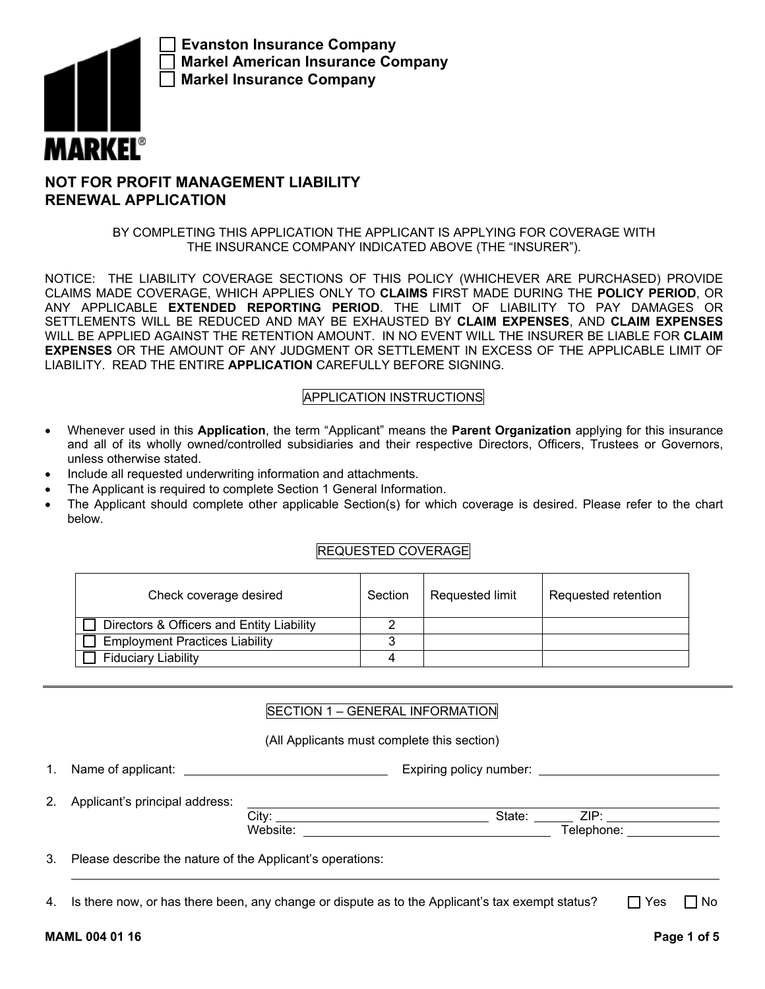

**Evanston Insurance Company Markel American Insurance Company Markel Insurance Company**

# **NOT FOR PROFIT MANAGEMENT LIABILITY RENEWAL APPLICATION**

## BY COMPLETING THIS APPLICATION THE APPLICANT IS APPLYING FOR COVERAGE WITH THE INSURANCE COMPANY INDICATED ABOVE (THE "INSURER").

NOTICE: THE LIABILITY COVERAGE SECTIONS OF THIS POLICY (WHICHEVER ARE PURCHASED) PROVIDE CLAIMS MADE COVERAGE, WHICH APPLIES ONLY TO **CLAIMS** FIRST MADE DURING THE **POLICY PERIOD**, OR ANY APPLICABLE **EXTENDED REPORTING PERIOD**. THE LIMIT OF LIABILITY TO PAY DAMAGES OR SETTLEMENTS WILL BE REDUCED AND MAY BE EXHAUSTED BY **CLAIM EXPENSES**, AND **CLAIM EXPENSES** WILL BE APPLIED AGAINST THE RETENTION AMOUNT. IN NO EVENT WILL THE INSURER BE LIABLE FOR **CLAIM EXPENSES** OR THE AMOUNT OF ANY JUDGMENT OR SETTLEMENT IN EXCESS OF THE APPLICABLE LIMIT OF LIABILITY. READ THE ENTIRE **APPLICATION** CAREFULLY BEFORE SIGNING.

# APPLICATION INSTRUCTIONS

- Whenever used in this **Application**, the term "Applicant" means the **Parent Organization** applying for this insurance and all of its wholly owned/controlled subsidiaries and their respective Directors, Officers, Trustees or Governors, unless otherwise stated.
- Include all requested underwriting information and attachments.
- The Applicant is required to complete Section 1 General Information.
- The Applicant should complete other applicable Section(s) for which coverage is desired. Please refer to the chart below.

## REQUESTED COVERAGE

| Check coverage desired                    | Section | Requested limit | Requested retention |
|-------------------------------------------|---------|-----------------|---------------------|
| Directors & Officers and Entity Liability |         |                 |                     |
| <b>Employment Practices Liability</b>     |         |                 |                     |
| <b>Fiduciary Liability</b>                |         |                 |                     |

## SECTION 1 – GENERAL INFORMATION

(All Applicants must complete this section)

1. Name of applicant: <u>Expiring policy number:</u> Expiring policy number: **EXPIRITY** 

2. Applicant's principal address:

| $\mathsf{L}$ . Applicants principal addition.             |          |        |            |  |
|-----------------------------------------------------------|----------|--------|------------|--|
|                                                           | City:    | State: | 7IP∙       |  |
|                                                           | Website: |        | Telephone: |  |
| Please describe the nature of the Applicant's operations: |          |        |            |  |

4. Is there now, or has there been, any change or dispute as to the Applicant's tax exempt status?  $\Box$  Yes  $\Box$  No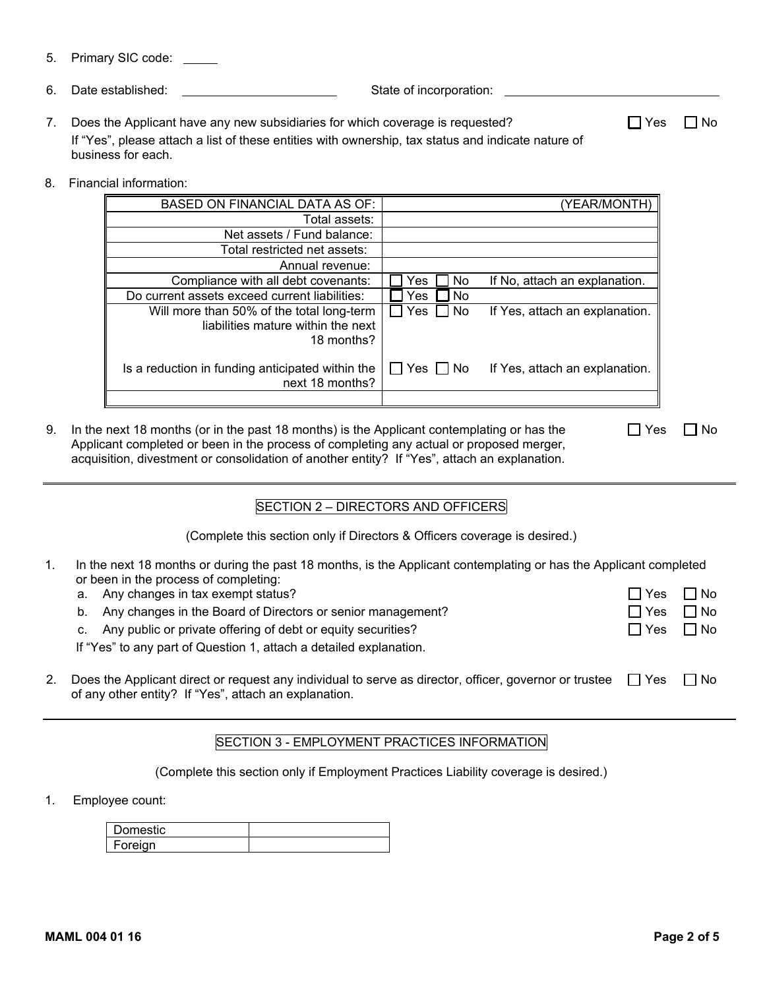- 5. Primary SIC code:
- 6. Date established: State of incorporation:
- 7. Does the Applicant have any new subsidiaries for which coverage is requested?  $\Box$  Yes  $\Box$  No If "Yes", please attach a list of these entities with ownership, tax status and indicate nature of business for each.
- 8. Financial information:

| (YEAR/MONTH                    |                      | <b>BASED ON FINANCIAL DATA AS OF:</b>                                                         |
|--------------------------------|----------------------|-----------------------------------------------------------------------------------------------|
|                                |                      | Total assets:                                                                                 |
|                                |                      | Net assets / Fund balance:                                                                    |
|                                |                      | Total restricted net assets:                                                                  |
|                                |                      | Annual revenue:                                                                               |
| If No, attach an explanation.  | No.<br>Yes           | Compliance with all debt covenants:                                                           |
|                                | No<br>Yes            | Do current assets exceed current liabilities:                                                 |
| If Yes, attach an explanation. | Yes $\Box$ No        | Will more than 50% of the total long-term<br>liabilities mature within the next<br>18 months? |
| If Yes, attach an explanation. | $\Box$ Yes $\Box$ No | Is a reduction in funding anticipated within the<br>next 18 months?                           |
|                                |                      |                                                                                               |

9. In the next 18 months (or in the past 18 months) is the Applicant contemplating or has the Applicant completed or been in the process of completing any actual or proposed merger, acquisition, divestment or consolidation of another entity? If "Yes", attach an explanation.  $\Box$  Yes  $\Box$  No

## SECTION 2 – DIRECTORS AND OFFICERS

(Complete this section only if Directors & Officers coverage is desired.)

- 1. In the next 18 months or during the past 18 months, is the Applicant contemplating or has the Applicant completed or been in the process of completing:
	- a. Any changes in tax exempt status?  $\Box$  Yes  $\Box$  Yes  $\Box$  No
	- b. Any changes in the Board of Directors or senior management?  $\Box$  Yes  $\Box$  No
	- c. Any public or private offering of debt or equity securities?  $\Box$  Yes  $\Box$  Yes  $\Box$  No

If "Yes" to any part of Question 1, attach a detailed explanation.

2. Does the Applicant direct or request any individual to serve as director, officer, governor or trustee  $\Box$  Yes  $\Box$  No of any other entity? If "Yes", attach an explanation.

### SECTION 3 - EMPLOYMENT PRACTICES INFORMATION

(Complete this section only if Employment Practices Liability coverage is desired.)

1. Employee count:

| amaatia<br>Domestic |  |
|---------------------|--|
| Foreian             |  |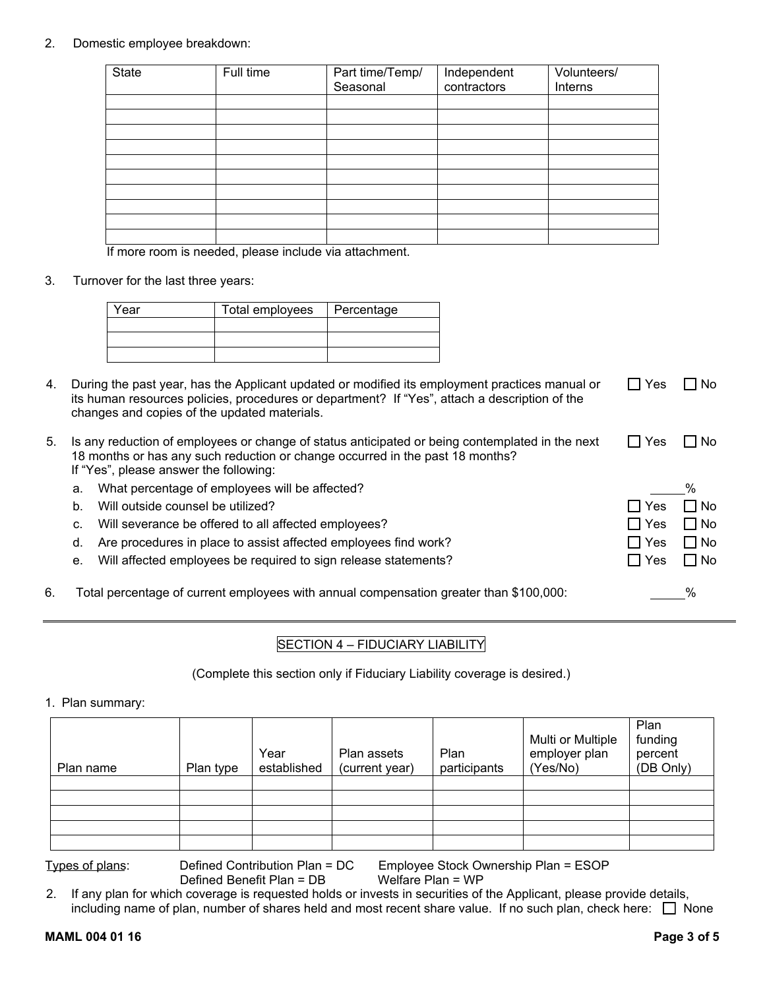### 2. Domestic employee breakdown:

| <b>State</b> | Full time | Part time/Temp/<br>Seasonal | Independent<br>contractors | Volunteers/<br>Interns |
|--------------|-----------|-----------------------------|----------------------------|------------------------|
|              |           |                             |                            |                        |
|              |           |                             |                            |                        |
|              |           |                             |                            |                        |
|              |           |                             |                            |                        |
|              |           |                             |                            |                        |
|              |           |                             |                            |                        |
|              |           |                             |                            |                        |
|              |           |                             |                            |                        |
|              |           |                             |                            |                        |
|              |           |                             |                            |                        |

If more room is needed, please include via attachment.

3. Turnover for the last three years:

| <b>Year</b> | Total employees | Percentage |  |
|-------------|-----------------|------------|--|
|             |                 |            |  |
|             |                 |            |  |
|             |                 |            |  |

4. During the past year, has the Applicant updated or modified its employment practices manual or its human resources policies, procedures or department? If "Yes", attach a description of the changes and copies of the updated materials.  $\Box$  Yes  $\Box$  No

| 5. |    | Is any reduction of employees or change of status anticipated or being contemplated in the next<br>18 months or has any such reduction or change occurred in the past 18 months? | Yes        | No.       |
|----|----|----------------------------------------------------------------------------------------------------------------------------------------------------------------------------------|------------|-----------|
|    |    | If "Yes", please answer the following:                                                                                                                                           |            |           |
|    | а. | What percentage of employees will be affected?                                                                                                                                   |            | %         |
|    | b. | Will outside counsel be utilized?                                                                                                                                                | l Yes      | □ No      |
|    | C. | Will severance be offered to all affected employees?                                                                                                                             | $\Box$ Yes | $\Box$ No |
|    | d. | Are procedures in place to assist affected employees find work?                                                                                                                  | l Yes      | $\Box$ No |
|    |    | e. Will affected employees be required to sign release statements?                                                                                                               | l Yes      | $\Box$ No |
| 6. |    | Total percentage of current emplovees with annual compensation greater than $\$100.000$ :                                                                                        |            | $\%$      |

# SECTION 4 – FIDUCIARY LIABILITY

(Complete this section only if Fiduciary Liability coverage is desired.)

1. Plan summary:

| Plan name | Plan type | Year<br>established | Plan assets<br>(current year) | Plan<br>participants | Multi or Multiple<br>employer plan<br>(Yes/No) | Plan<br>funding<br>percent<br>(DB Only) |
|-----------|-----------|---------------------|-------------------------------|----------------------|------------------------------------------------|-----------------------------------------|
|           |           |                     |                               |                      |                                                |                                         |
|           |           |                     |                               |                      |                                                |                                         |

Types of plans: Defined Contribution Plan = DC Employee Stock Ownership Plan = ESOP

Defined Benefit Plan = DB

2. If any plan for which coverage is requested holds or invests in securities of the Applicant, please provide details, including name of plan, number of shares held and most recent share value. If no such plan, check here:  $\Box$  None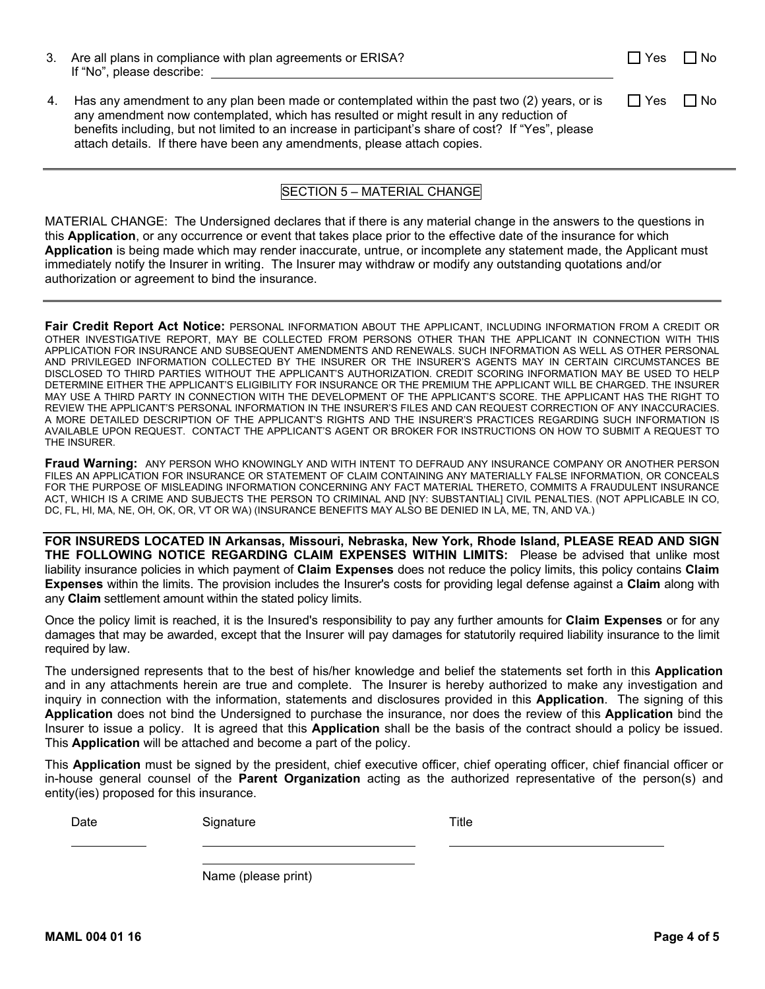| 3. Are all plans in compliance with plan agreements or ERISA? |
|---------------------------------------------------------------|
| If "No", please describe:                                     |
|                                                               |

4. Has any amendment to any plan been made or contemplated within the past two (2) years, or is any amendment now contemplated, which has resulted or might result in any reduction of benefits including, but not limited to an increase in participant's share of cost? If "Yes", please attach details. If there have been any amendments, please attach copies.  $\Box$  Yes  $\Box$  No

# SECTION 5 – MATERIAL CHANGE

MATERIAL CHANGE: The Undersigned declares that if there is any material change in the answers to the questions in this **Application**, or any occurrence or event that takes place prior to the effective date of the insurance for which **Application** is being made which may render inaccurate, untrue, or incomplete any statement made, the Applicant must immediately notify the Insurer in writing. The Insurer may withdraw or modify any outstanding quotations and/or authorization or agreement to bind the insurance.

**Fair Credit Report Act Notice:** PERSONAL INFORMATION ABOUT THE APPLICANT, INCLUDING INFORMATION FROM A CREDIT OR OTHER INVESTIGATIVE REPORT, MAY BE COLLECTED FROM PERSONS OTHER THAN THE APPLICANT IN CONNECTION WITH THIS APPLICATION FOR INSURANCE AND SUBSEQUENT AMENDMENTS AND RENEWALS. SUCH INFORMATION AS WELL AS OTHER PERSONAL AND PRIVILEGED INFORMATION COLLECTED BY THE INSURER OR THE INSURER'S AGENTS MAY IN CERTAIN CIRCUMSTANCES BE DISCLOSED TO THIRD PARTIES WITHOUT THE APPLICANT'S AUTHORIZATION. CREDIT SCORING INFORMATION MAY BE USED TO HELP DETERMINE EITHER THE APPLICANT'S ELIGIBILITY FOR INSURANCE OR THE PREMIUM THE APPLICANT WILL BE CHARGED. THE INSURER MAY USE A THIRD PARTY IN CONNECTION WITH THE DEVELOPMENT OF THE APPLICANT'S SCORE. THE APPLICANT HAS THE RIGHT TO REVIEW THE APPLICANT'S PERSONAL INFORMATION IN THE INSURER'S FILES AND CAN REQUEST CORRECTION OF ANY INACCURACIES. A MORE DETAILED DESCRIPTION OF THE APPLICANT'S RIGHTS AND THE INSURER'S PRACTICES REGARDING SUCH INFORMATION IS AVAILABLE UPON REQUEST. CONTACT THE APPLICANT'S AGENT OR BROKER FOR INSTRUCTIONS ON HOW TO SUBMIT A REQUEST TO THE INSURER.

**Fraud Warning:** ANY PERSON WHO KNOWINGLY AND WITH INTENT TO DEFRAUD ANY INSURANCE COMPANY OR ANOTHER PERSON FILES AN APPLICATION FOR INSURANCE OR STATEMENT OF CLAIM CONTAINING ANY MATERIALLY FALSE INFORMATION, OR CONCEALS FOR THE PURPOSE OF MISLEADING INFORMATION CONCERNING ANY FACT MATERIAL THERETO, COMMITS A FRAUDULENT INSURANCE ACT, WHICH IS A CRIME AND SUBJECTS THE PERSON TO CRIMINAL AND [NY: SUBSTANTIAL] CIVIL PENALTIES. (NOT APPLICABLE IN CO, DC, FL, HI, MA, NE, OH, OK, OR, VT OR WA) (INSURANCE BENEFITS MAY ALSO BE DENIED IN LA, ME, TN, AND VA.)

**FOR INSUREDS LOCATED IN Arkansas, Missouri, Nebraska, New York, Rhode Island, PLEASE READ AND SIGN THE FOLLOWING NOTICE REGARDING CLAIM EXPENSES WITHIN LIMITS:** Please be advised that unlike most liability insurance policies in which payment of **Claim Expenses** does not reduce the policy limits, this policy contains **Claim Expenses** within the limits. The provision includes the Insurer's costs for providing legal defense against a **Claim** along with any **Claim** settlement amount within the stated policy limits.

Once the policy limit is reached, it is the Insured's responsibility to pay any further amounts for **Claim Expenses** or for any damages that may be awarded, except that the Insurer will pay damages for statutorily required liability insurance to the limit required by law.

The undersigned represents that to the best of his/her knowledge and belief the statements set forth in this **Application** and in any attachments herein are true and complete. The Insurer is hereby authorized to make any investigation and inquiry in connection with the information, statements and disclosures provided in this **Application**. The signing of this **Application** does not bind the Undersigned to purchase the insurance, nor does the review of this **Application** bind the Insurer to issue a policy. It is agreed that this **Application** shall be the basis of the contract should a policy be issued. This **Application** will be attached and become a part of the policy.

This **Application** must be signed by the president, chief executive officer, chief operating officer, chief financial officer or in-house general counsel of the **Parent Organization** acting as the authorized representative of the person(s) and entity(ies) proposed for this insurance.

Date Signature Signature Title

Name (please print)

 $\Box$  Yes  $\Box$  No